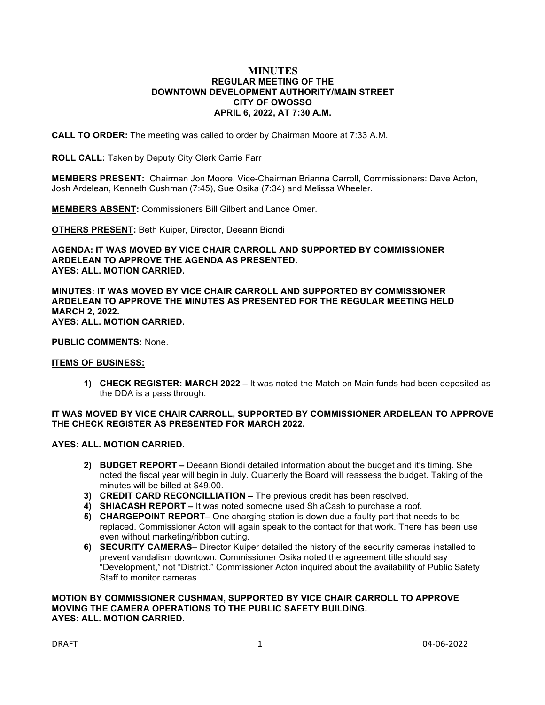## **MINUTES REGULAR MEETING OF THE DOWNTOWN DEVELOPMENT AUTHORITY/MAIN STREET CITY OF OWOSSO APRIL 6, 2022, AT 7:30 A.M.**

**CALL TO ORDER:** The meeting was called to order by Chairman Moore at 7:33 A.M.

**ROLL CALL:** Taken by Deputy City Clerk Carrie Farr

**MEMBERS PRESENT:** Chairman Jon Moore, Vice-Chairman Brianna Carroll, Commissioners: Dave Acton, Josh Ardelean, Kenneth Cushman (7:45), Sue Osika (7:34) and Melissa Wheeler.

**MEMBERS ABSENT:** Commissioners Bill Gilbert and Lance Omer.

**OTHERS PRESENT:** Beth Kuiper, Director, Deeann Biondi

**AGENDA: IT WAS MOVED BY VICE CHAIR CARROLL AND SUPPORTED BY COMMISSIONER ARDELEAN TO APPROVE THE AGENDA AS PRESENTED. AYES: ALL. MOTION CARRIED.**

**MINUTES: IT WAS MOVED BY VICE CHAIR CARROLL AND SUPPORTED BY COMMISSIONER ARDELEAN TO APPROVE THE MINUTES AS PRESENTED FOR THE REGULAR MEETING HELD MARCH 2, 2022. AYES: ALL. MOTION CARRIED.**

**PUBLIC COMMENTS:** None.

## **ITEMS OF BUSINESS:**

**1) CHECK REGISTER: MARCH 2022 –** It was noted the Match on Main funds had been deposited as the DDA is a pass through.

## **IT WAS MOVED BY VICE CHAIR CARROLL, SUPPORTED BY COMMISSIONER ARDELEAN TO APPROVE THE CHECK REGISTER AS PRESENTED FOR MARCH 2022.**

## **AYES: ALL. MOTION CARRIED.**

- **2) BUDGET REPORT –** Deeann Biondi detailed information about the budget and it's timing. She noted the fiscal year will begin in July. Quarterly the Board will reassess the budget. Taking of the minutes will be billed at \$49.00.
- **3) CREDIT CARD RECONCILLIATION –** The previous credit has been resolved.
- **4) SHIACASH REPORT –** It was noted someone used ShiaCash to purchase a roof.
- **5) CHARGEPOINT REPORT–** One charging station is down due a faulty part that needs to be replaced. Commissioner Acton will again speak to the contact for that work. There has been use even without marketing/ribbon cutting.
- **6) SECURITY CAMERAS–** Director Kuiper detailed the history of the security cameras installed to prevent vandalism downtown. Commissioner Osika noted the agreement title should say "Development," not "District." Commissioner Acton inquired about the availability of Public Safety Staff to monitor cameras.

## **MOTION BY COMMISSIONER CUSHMAN, SUPPORTED BY VICE CHAIR CARROLL TO APPROVE MOVING THE CAMERA OPERATIONS TO THE PUBLIC SAFETY BUILDING. AYES: ALL. MOTION CARRIED.**